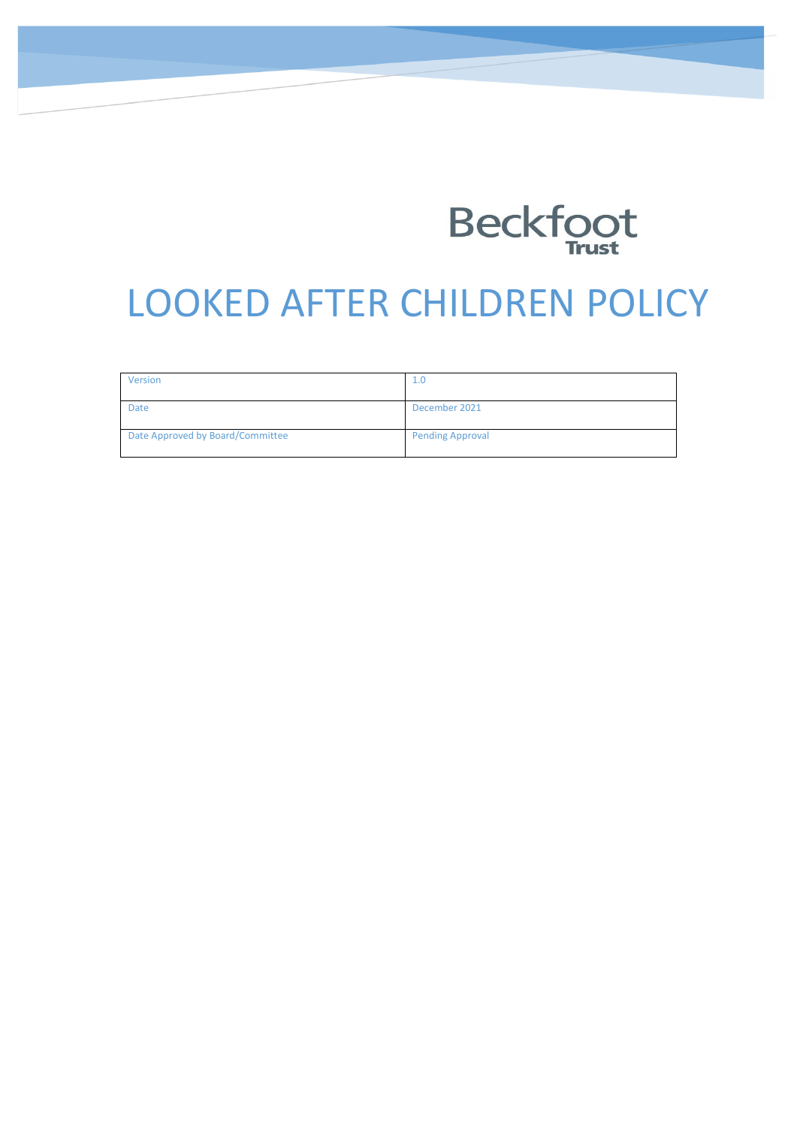

# LOOKED AFTER CHILDREN POLICY

| Version                          | 1.0                     |
|----------------------------------|-------------------------|
| Date                             | December 2021           |
| Date Approved by Board/Committee | <b>Pending Approval</b> |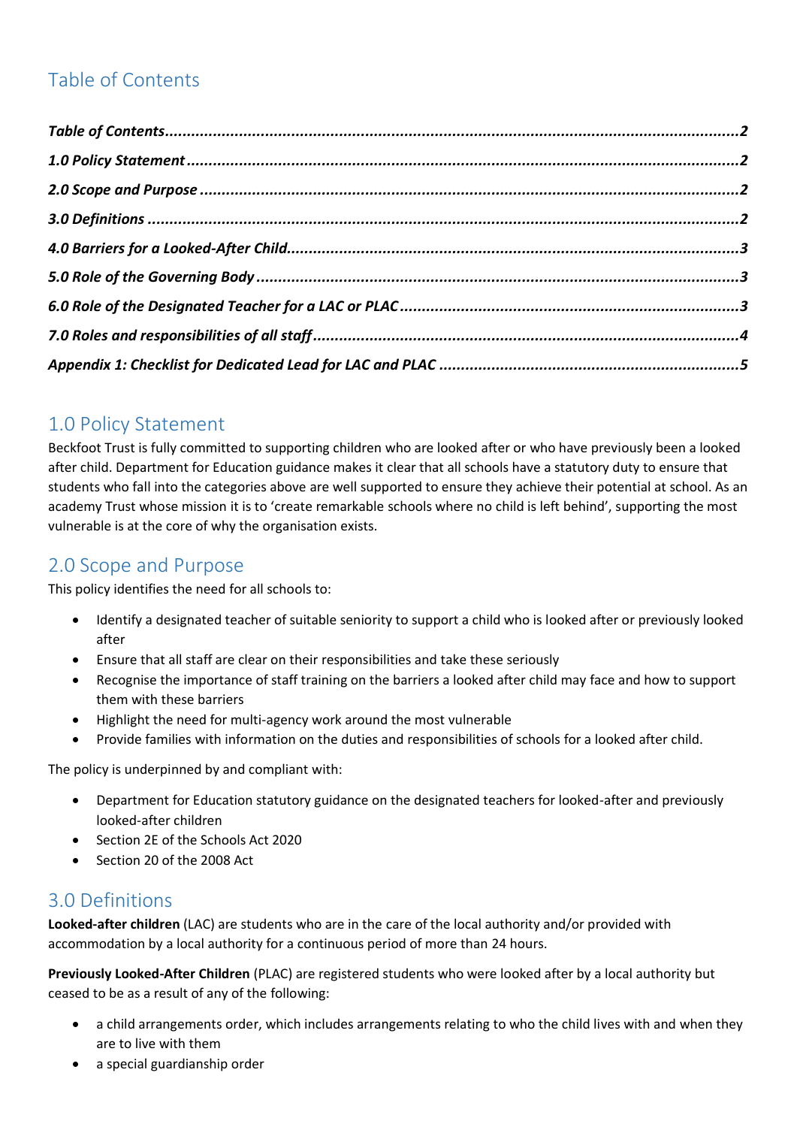## <span id="page-1-0"></span>Table of Contents

#### <span id="page-1-1"></span>1.0 Policy Statement

Beckfoot Trust is fully committed to supporting children who are looked after or who have previously been a looked after child. Department for Education guidance makes it clear that all schools have a statutory duty to ensure that students who fall into the categories above are well supported to ensure they achieve their potential at school. As an academy Trust whose mission it is to 'create remarkable schools where no child is left behind', supporting the most vulnerable is at the core of why the organisation exists.

#### <span id="page-1-2"></span>2.0 Scope and Purpose

This policy identifies the need for all schools to:

- Identify a designated teacher of suitable seniority to support a child who is looked after or previously looked after
- Ensure that all staff are clear on their responsibilities and take these seriously
- Recognise the importance of staff training on the barriers a looked after child may face and how to support them with these barriers
- Highlight the need for multi-agency work around the most vulnerable
- Provide families with information on the duties and responsibilities of schools for a looked after child.

The policy is underpinned by and compliant with:

- Department for Education statutory guidance on the designated teachers for looked-after and previously looked-after children
- Section 2E of the Schools Act 2020
- Section 20 of the 2008 Act

#### <span id="page-1-3"></span>3.0 Definitions

**Looked-after children** (LAC) are students who are in the care of the local authority and/or provided with accommodation by a local authority for a continuous period of more than 24 hours.

**Previously Looked-After Children** (PLAC) are registered students who were looked after by a local authority but ceased to be as a result of any of the following:

- a child arrangements order, which includes arrangements relating to who the child lives with and when they are to live with them
- a special guardianship order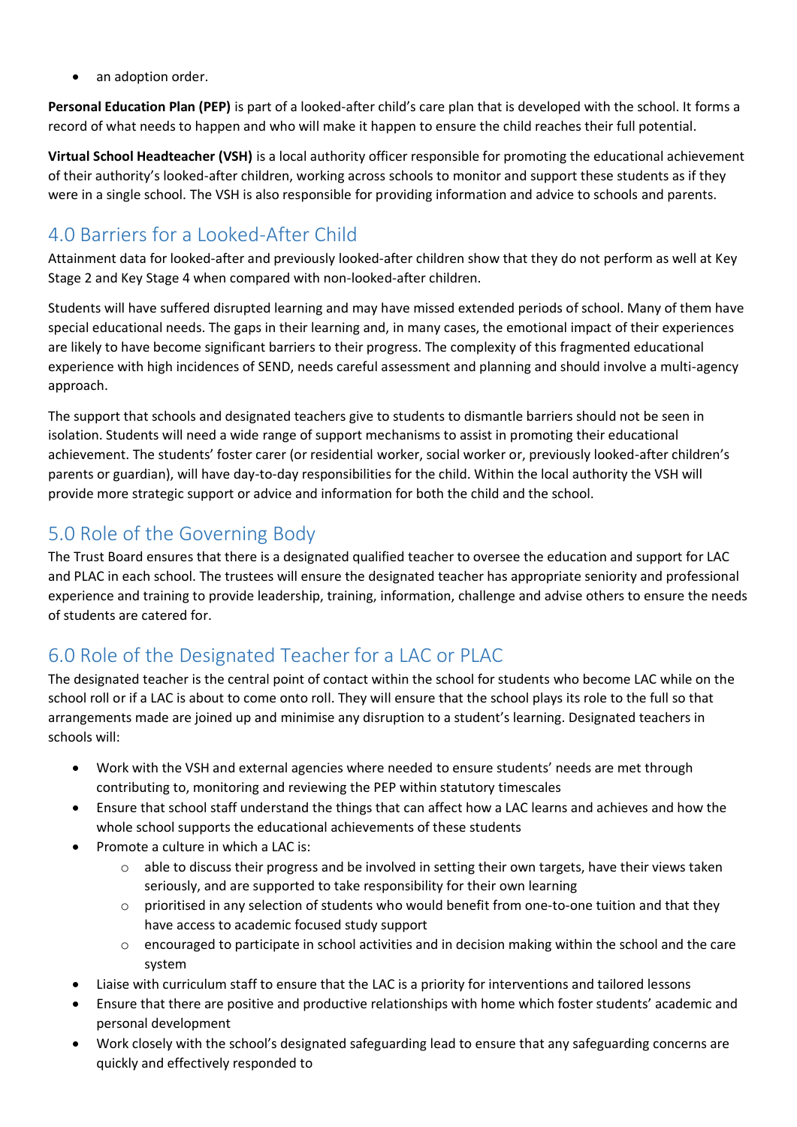• an adoption order.

**Personal Education Plan (PEP)** is part of a looked-after child's care plan that is developed with the school. It forms a record of what needs to happen and who will make it happen to ensure the child reaches their full potential.

**Virtual School Headteacher (VSH)** is a local authority officer responsible for promoting the educational achievement of their authority's looked-after children, working across schools to monitor and support these students as if they were in a single school. The VSH is also responsible for providing information and advice to schools and parents.

## <span id="page-2-0"></span>4.0 Barriers for a Looked-After Child

Attainment data for looked-after and previously looked-after children show that they do not perform as well at Key Stage 2 and Key Stage 4 when compared with non-looked-after children.

Students will have suffered disrupted learning and may have missed extended periods of school. Many of them have special educational needs. The gaps in their learning and, in many cases, the emotional impact of their experiences are likely to have become significant barriers to their progress. The complexity of this fragmented educational experience with high incidences of SEND, needs careful assessment and planning and should involve a multi-agency approach.

The support that schools and designated teachers give to students to dismantle barriers should not be seen in isolation. Students will need a wide range of support mechanisms to assist in promoting their educational achievement. The students' foster carer (or residential worker, social worker or, previously looked-after children's parents or guardian), will have day-to-day responsibilities for the child. Within the local authority the VSH will provide more strategic support or advice and information for both the child and the school.

## <span id="page-2-1"></span>5.0 Role of the Governing Body

The Trust Board ensures that there is a designated qualified teacher to oversee the education and support for LAC and PLAC in each school. The trustees will ensure the designated teacher has appropriate seniority and professional experience and training to provide leadership, training, information, challenge and advise others to ensure the needs of students are catered for.

## <span id="page-2-2"></span>6.0 Role of the Designated Teacher for a LAC or PLAC

The designated teacher is the central point of contact within the school for students who become LAC while on the school roll or if a LAC is about to come onto roll. They will ensure that the school plays its role to the full so that arrangements made are joined up and minimise any disruption to a student's learning. Designated teachers in schools will:

- Work with the VSH and external agencies where needed to ensure students' needs are met through contributing to, monitoring and reviewing the PEP within statutory timescales
- Ensure that school staff understand the things that can affect how a LAC learns and achieves and how the whole school supports the educational achievements of these students
- Promote a culture in which a LAC is:
	- $\circ$  able to discuss their progress and be involved in setting their own targets, have their views taken seriously, and are supported to take responsibility for their own learning
	- $\circ$  prioritised in any selection of students who would benefit from one-to-one tuition and that they have access to academic focused study support
	- $\circ$  encouraged to participate in school activities and in decision making within the school and the care system
- Liaise with curriculum staff to ensure that the LAC is a priority for interventions and tailored lessons
- Ensure that there are positive and productive relationships with home which foster students' academic and personal development
- Work closely with the school's designated safeguarding lead to ensure that any safeguarding concerns are quickly and effectively responded to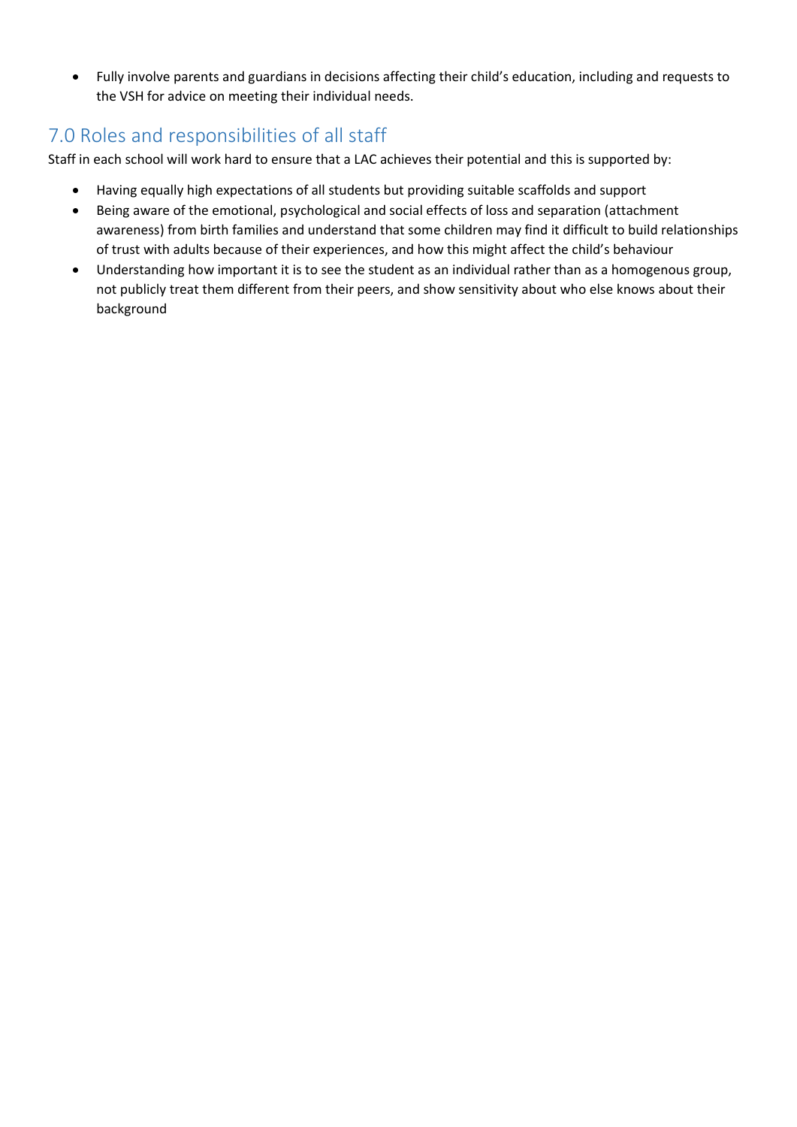• Fully involve parents and guardians in decisions affecting their child's education, including and requests to the VSH for advice on meeting their individual needs.

#### <span id="page-3-0"></span>7.0 Roles and responsibilities of all staff

Staff in each school will work hard to ensure that a LAC achieves their potential and this is supported by:

- Having equally high expectations of all students but providing suitable scaffolds and support
- Being aware of the emotional, psychological and social effects of loss and separation (attachment awareness) from birth families and understand that some children may find it difficult to build relationships of trust with adults because of their experiences, and how this might affect the child's behaviour
- Understanding how important it is to see the student as an individual rather than as a homogenous group, not publicly treat them different from their peers, and show sensitivity about who else knows about their background